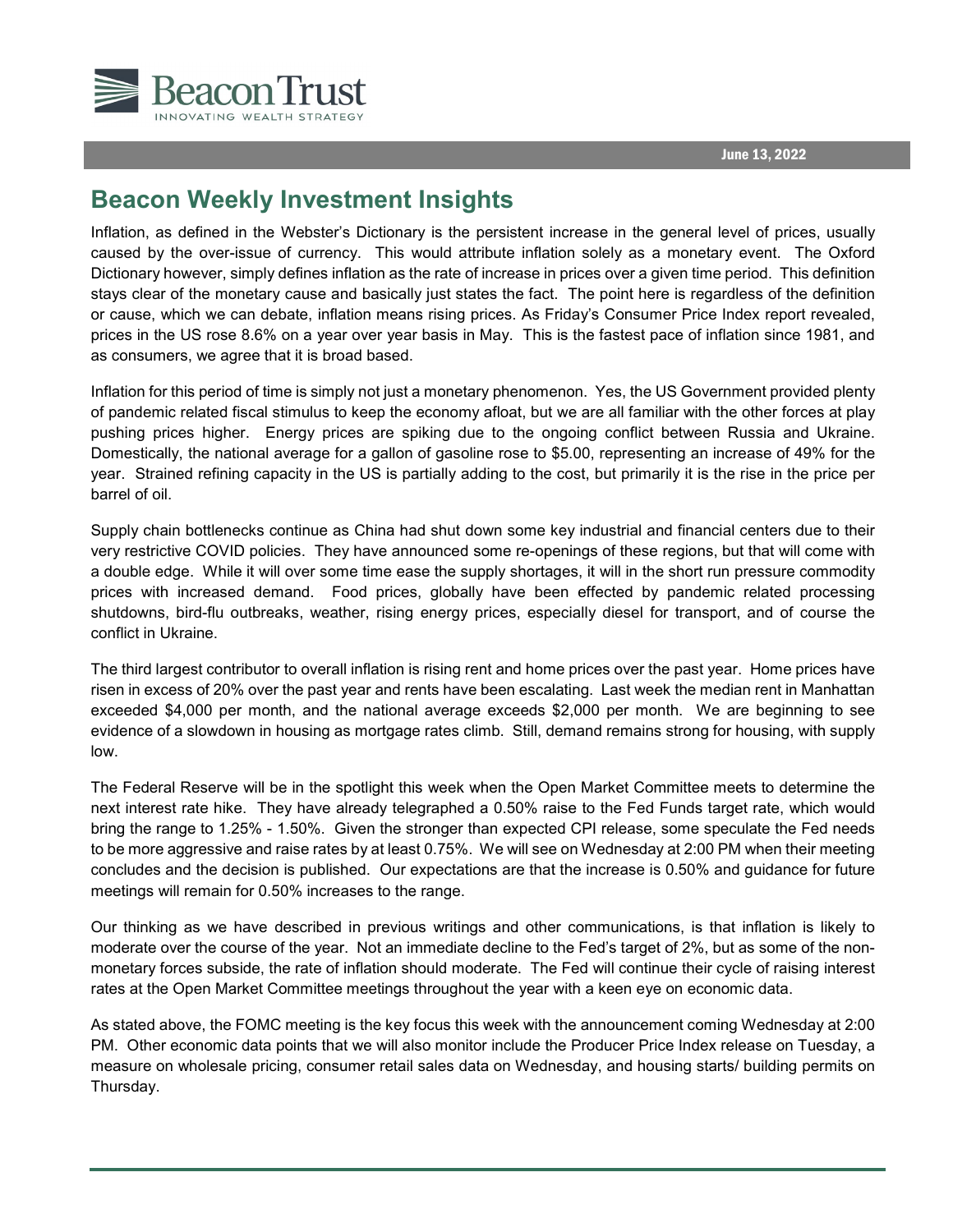



## **Beacon Weekly Investment Insights**

Inflation, as defined in the Webster's Dictionary is the persistent increase in the general level of prices, usually caused by the over-issue of currency. This would attribute inflation solely as a monetary event. The Oxford Dictionary however, simply defines inflation as the rate of increase in prices over a given time period. This definition stays clear of the monetary cause and basically just states the fact. The point here is regardless of the definition or cause, which we can debate, inflation means rising prices. As Friday's Consumer Price Index report revealed, prices in the US rose 8.6% on a year over year basis in May. This is the fastest pace of inflation since 1981, and as consumers, we agree that it is broad based.

Inflation for this period of time is simply not just a monetary phenomenon. Yes, the US Government provided plenty of pandemic related fiscal stimulus to keep the economy afloat, but we are all familiar with the other forces at play pushing prices higher. Energy prices are spiking due to the ongoing conflict between Russia and Ukraine. Domestically, the national average for a gallon of gasoline rose to \$5.00, representing an increase of 49% for the year. Strained refining capacity in the US is partially adding to the cost, but primarily it is the rise in the price per barrel of oil.

Supply chain bottlenecks continue as China had shut down some key industrial and financial centers due to their very restrictive COVID policies. They have announced some re-openings of these regions, but that will come with a double edge. While it will over some time ease the supply shortages, it will in the short run pressure commodity prices with increased demand. Food prices, globally have been effected by pandemic related processing shutdowns, bird-flu outbreaks, weather, rising energy prices, especially diesel for transport, and of course the conflict in Ukraine.

The third largest contributor to overall inflation is rising rent and home prices over the past year. Home prices have risen in excess of 20% over the past year and rents have been escalating. Last week the median rent in Manhattan exceeded \$4,000 per month, and the national average exceeds \$2,000 per month. We are beginning to see evidence of a slowdown in housing as mortgage rates climb. Still, demand remains strong for housing, with supply low.

The Federal Reserve will be in the spotlight this week when the Open Market Committee meets to determine the next interest rate hike. They have already telegraphed a 0.50% raise to the Fed Funds target rate, which would bring the range to 1.25% - 1.50%. Given the stronger than expected CPI release, some speculate the Fed needs to be more aggressive and raise rates by at least 0.75%. We will see on Wednesday at 2:00 PM when their meeting concludes and the decision is published. Our expectations are that the increase is 0.50% and guidance for future meetings will remain for 0.50% increases to the range.

Our thinking as we have described in previous writings and other communications, is that inflation is likely to moderate over the course of the year. Not an immediate decline to the Fed's target of 2%, but as some of the nonmonetary forces subside, the rate of inflation should moderate. The Fed will continue their cycle of raising interest rates at the Open Market Committee meetings throughout the year with a keen eye on economic data.

As stated above, the FOMC meeting is the key focus this week with the announcement coming Wednesday at 2:00 PM. Other economic data points that we will also monitor include the Producer Price Index release on Tuesday, a measure on wholesale pricing, consumer retail sales data on Wednesday, and housing starts/ building permits on Thursday.